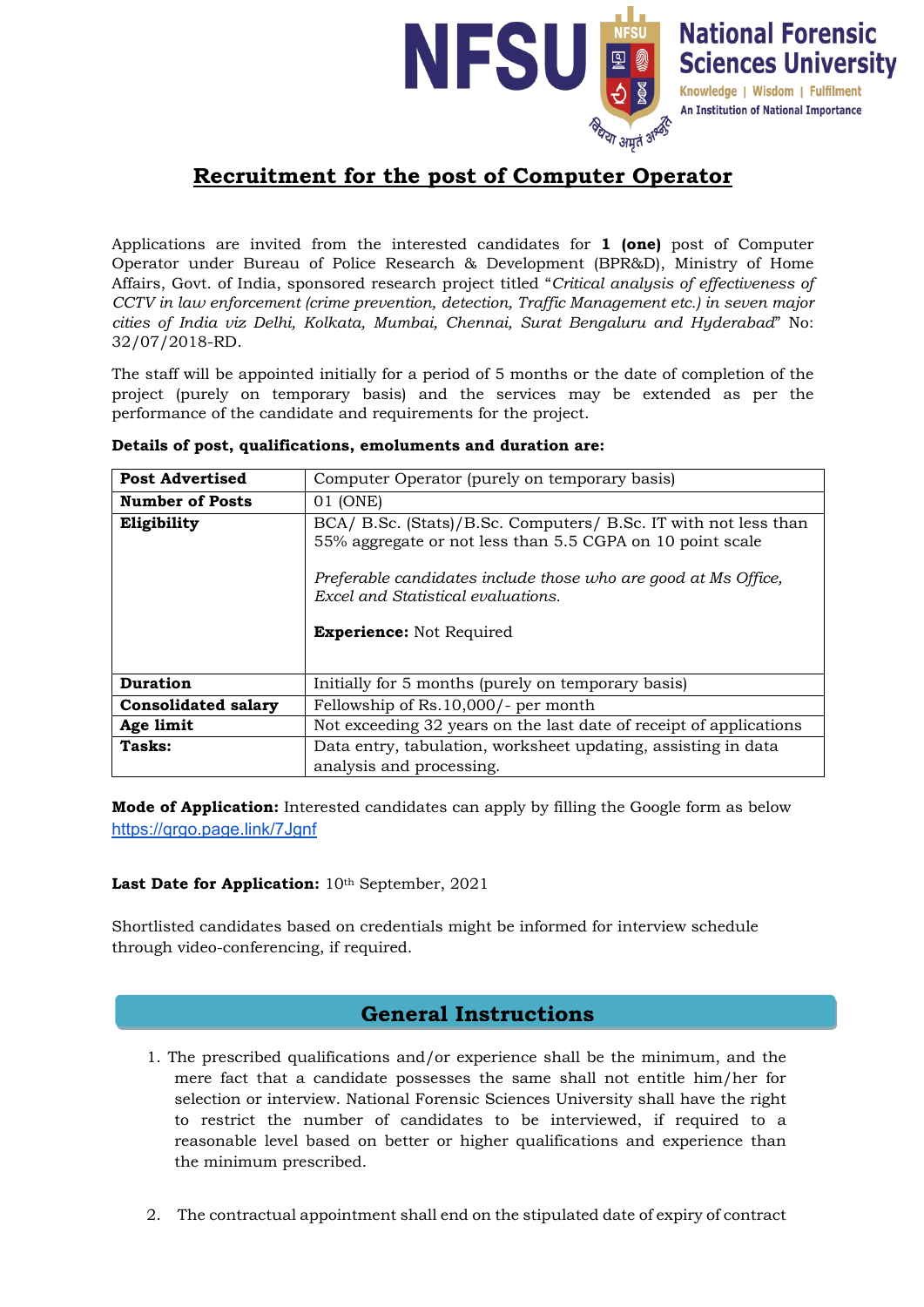

# **Recruitment for the post of Computer Operator**

Applications are invited from the interested candidates for **1 (one)** post of Computer Operator under Bureau of Police Research & Development (BPR&D), Ministry of Home Affairs, Govt. of India, sponsored research project titled "*Critical analysis of effectiveness of CCTV in law enforcement (crime prevention, detection, Traffic Management etc.) in seven major cities of India viz Delhi, Kolkata, Mumbai, Chennai, Surat Bengaluru and Hyderabad*" No: 32/07/2018-RD.

The staff will be appointed initially for a period of 5 months or the date of completion of the project (purely on temporary basis) and the services may be extended as per the performance of the candidate and requirements for the project.

| <b>Post Advertised</b>     | Computer Operator (purely on temporary basis)                                                                                                                                                                                        |
|----------------------------|--------------------------------------------------------------------------------------------------------------------------------------------------------------------------------------------------------------------------------------|
| <b>Number of Posts</b>     | 01 (ONE)                                                                                                                                                                                                                             |
| Eligibility                | BCA/ B.Sc. (Stats)/B.Sc. Computers/ B.Sc. IT with not less than<br>55% aggregate or not less than 5.5 CGPA on 10 point scale<br>Preferable candidates include those who are good at Ms Office,<br>Excel and Statistical evaluations. |
|                            | <b>Experience:</b> Not Required                                                                                                                                                                                                      |
| <b>Duration</b>            | Initially for 5 months (purely on temporary basis)                                                                                                                                                                                   |
| <b>Consolidated salary</b> | Fellowship of Rs. 10,000/- per month                                                                                                                                                                                                 |
| Age limit                  | Not exceeding 32 years on the last date of receipt of applications                                                                                                                                                                   |
| Tasks:                     | Data entry, tabulation, worksheet updating, assisting in data                                                                                                                                                                        |
|                            | analysis and processing.                                                                                                                                                                                                             |

### **Details of post, qualifications, emoluments and duration are:**

**Mode of Application:** Interested candidates can apply by filling the Google form as below https://grgo.page.link/7Jgnf

### Last Date for Application:  $10<sup>th</sup>$  September, 2021

Shortlisted candidates based on credentials might be informed for interview schedule through video-conferencing, if required.

## **General Instructions**

- 1. The prescribed qualifications and/or experience shall be the minimum, and the mere fact that a candidate possesses the same shall not entitle him/her for selection or interview. National Forensic Sciences University shall have the right to restrict the number of candidates to be interviewed, if required to a reasonable level based on better or higher qualifications and experience than the minimum prescribed.
- 2. The contractual appointment shall end on the stipulated date of expiry of contract